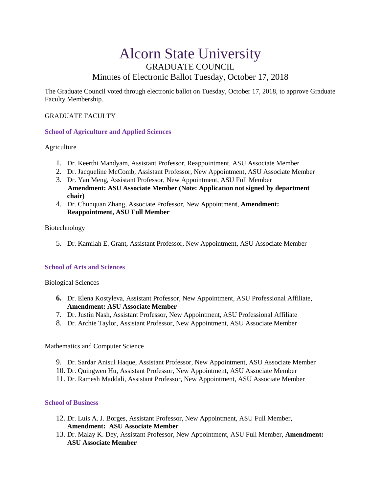# Alcorn State University GRADUATE COUNCIL Minutes of Electronic Ballot Tuesday, October 17, 2018

The Graduate Council voted through electronic ballot on Tuesday, October 17, 2018, to approve Graduate Faculty Membership.

## GRADUATE FACULTY

## **School of Agriculture and Applied Sciences**

Agriculture

- 1. Dr. Keerthi Mandyam, Assistant Professor, Reappointment, ASU Associate Member
- 2. Dr. Jacqueline McComb, Assistant Professor, New Appointment, ASU Associate Member
- 3. Dr. Yan Meng, Assistant Professor, New Appointment, ASU Full Member **Amendment: ASU Associate Member (Note: Application not signed by department chair)**
- 4. Dr. Chunquan Zhang, Associate Professor, New Appointmen**t**, **Amendment: Reappointment, ASU Full Member**

#### Biotechnology

5. Dr. Kamilah E. Grant, Assistant Professor, New Appointment, ASU Associate Member

## **School of Arts and Sciences**

Biological Sciences

- **6.** Dr. Elena Kostyleva, Assistant Professor, New Appointment, ASU Professional Affiliate, **Amendment: ASU Associate Member**
- 7. Dr. Justin Nash, Assistant Professor, New Appointment, ASU Professional Affiliate
- 8. Dr. Archie Taylor, Assistant Professor, New Appointment, ASU Associate Member

Mathematics and Computer Science

- 9. Dr. Sardar Anisul Haque, Assistant Professor, New Appointment, ASU Associate Member
- 10. Dr. Quingwen Hu, Assistant Professor, New Appointment, ASU Associate Member
- 11. Dr. Ramesh Maddali, Assistant Professor, New Appointment, ASU Associate Member

#### **School of Business**

- 12. Dr. Luis A. J. Borges, Assistant Professor, New Appointment, ASU Full Member, **Amendment: ASU Associate Member**
- 13. Dr. Malay K. Dey, Assistant Professor, New Appointment, ASU Full Member, **Amendment: ASU Associate Member**